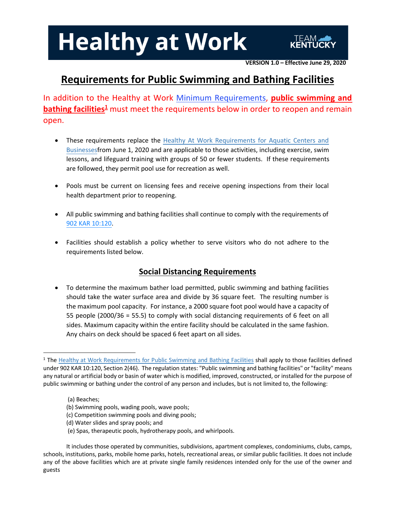**VERSION 1.0 – Effective June 29, 2020**

### **Requirements for Public Swimming and Bathing Facilities**

In addition to the Healthy at Work Minimum [Requirements](https://govstatus.egov.com/ky-healthy-at-work%23MinimumRequirements), **public swimming and bathing facilities<sup>1</sup>** must meet the requirements below in order to reopen and remain open.

- These requirements replace the Healthy At Work Requirements for Aquatic Centers and Businessesfrom June 1, 2020 and are applicable to those activities, including exercise, swim lessons, and lifeguard training with groups of 50 or fewer students. If these requirements are followed, they permit pool use for recreation as well.
- Pools must be current on licensing fees and receive opening inspections from their local health department prior to reopening.
- All public swimming and bathing facilities shall continue to comply with the requirements of [902 KAR 10:120.](https://apps.legislature.ky.gov/law/kar/TITLE902.HTM)
- Facilities should establish a policy whether to serve visitors who do not adhere to the requirements listed below.

### **Social Distancing Requirements**

• To determine the maximum bather load permitted, public swimming and bathing facilities should take the water surface area and divide by 36 square feet. The resulting number is the maximum pool capacity. For instance, a 2000 square foot pool would have a capacity of 55 people (2000/36 = 55.5) to comply with social distancing requirements of 6 feet on all sides. Maximum capacity within the entire facility should be calculated in the same fashion. Any chairs on deck should be spaced 6 feet apart on all sides.

- (a) Beaches;
- (b) Swimming pools, wading pools, wave pools;
- (c) Competition swimming pools and diving pools;
- (d) Water slides and spray pools; and
- (e) Spas, therapeutic pools, hydrotherapy pools, and whirlpools.

<sup>&</sup>lt;sup>1</sup> The Healthy at Work Requirements for Public Swimming and Bathing Facilities shall apply to those facilities defined under 902 KAR 10:120, Section 2(46). The regulation states: "Public swimming and bathing facilities" or "facility" means any natural or artificial body or basin of water which is modified, improved, constructed, or installed for the purpose of public swimming or bathing under the control of any person and includes, but is not limited to, the following:

It includes those operated by communities, subdivisions, apartment complexes, condominiums, clubs, camps, schools, institutions, parks, mobile home parks, hotels, recreational areas, or similar public facilities. It does not include any of the above facilities which are at private single family residences intended only for the use of the owner and guests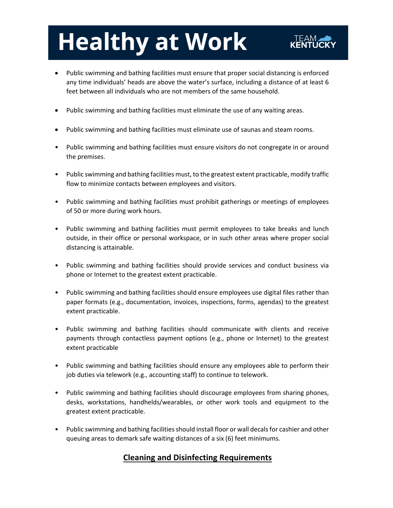- Public swimming and bathing facilities must ensure that proper social distancing is enforced any time individuals' heads are above the water's surface, including a distance of at least 6 feet between all individuals who are not members of the same household.
- Public swimming and bathing facilities must eliminate the use of any waiting areas.
- Public swimming and bathing facilities must eliminate use of saunas and steam rooms.
- Public swimming and bathing facilities must ensure visitors do not congregate in or around the premises.
- Public swimming and bathing facilities must, to the greatest extent practicable, modify traffic flow to minimize contacts between employees and visitors.
- Public swimming and bathing facilities must prohibit gatherings or meetings of employees of 50 or more during work hours.
- Public swimming and bathing facilities must permit employees to take breaks and lunch outside, in their office or personal workspace, or in such other areas where proper social distancing is attainable.
- Public swimming and bathing facilities should provide services and conduct business via phone or Internet to the greatest extent practicable.
- Public swimming and bathing facilities should ensure employees use digital files rather than paper formats (e.g., documentation, invoices, inspections, forms, agendas) to the greatest extent practicable.
- Public swimming and bathing facilities should communicate with clients and receive payments through contactless payment options (e.g., phone or Internet) to the greatest extent practicable
- Public swimming and bathing facilities should ensure any employees able to perform their job duties via telework (e.g., accounting staff) to continue to telework.
- Public swimming and bathing facilities should discourage employees from sharing phones, desks, workstations, handhelds/wearables, or other work tools and equipment to the greatest extent practicable.
- Public swimming and bathing facilities should install floor or wall decals for cashier and other queuing areas to demark safe waiting distances of a six (6) feet minimums.

#### **Cleaning and Disinfecting Requirements**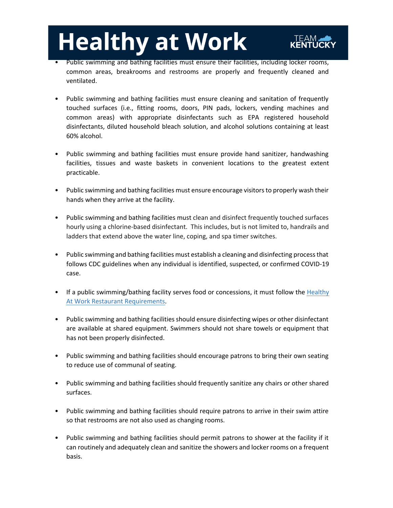- Public swimming and bathing facilities must ensure their facilities, including locker rooms, common areas, breakrooms and restrooms are properly and frequently cleaned and ventilated.
- Public swimming and bathing facilities must ensure cleaning and sanitation of frequently touched surfaces (i.e., fitting rooms, doors, PIN pads, lockers, vending machines and common areas) with appropriate disinfectants such as EPA registered household disinfectants, diluted household bleach solution, and alcohol solutions containing at least 60% alcohol.
- Public swimming and bathing facilities must ensure provide hand sanitizer, handwashing facilities, tissues and waste baskets in convenient locations to the greatest extent practicable.
- Public swimming and bathing facilities must ensure encourage visitors to properly wash their hands when they arrive at the facility.
- Public swimming and bathing facilities must clean and disinfect frequently touched surfaces hourly using a chlorine-based disinfectant. This includes, but is not limited to, handrails and ladders that extend above the water line, coping, and spa timer switches.
- Public swimming and bathing facilities must establish a cleaning and disinfecting processthat follows CDC guidelines when any individual is identified, suspected, or confirmed COVID-19 case.
- If a public swimming/bathing facility serves food or [concessions, it must follow](https://govsite-assets.s3.amazonaws.com/YGh7MJGzTBCCCaBOMJnj_Healthy%20at%20Work%20Reqs%20-%20Restaurants%20-%20Final%20Version%201.2.pdf) the Healthy At Work Restaurant Requirements.
- Public swimming and bathing facilities should ensure disinfecting wipes or other disinfectant are available at shared equipment. Swimmers should not share towels or equipment that has not been properly disinfected.
- Public swimming and bathing facilities should encourage patrons to bring their own seating to reduce use of communal of seating.
- Public swimming and bathing facilities should frequently sanitize any chairs or other shared surfaces.
- Public swimming and bathing facilities should require patrons to arrive in their swim attire so that restrooms are not also used as changing rooms.
- Public swimming and bathing facilities should permit patrons to shower at the facility if it can routinely and adequately clean and sanitize the showers and locker rooms on a frequent basis.